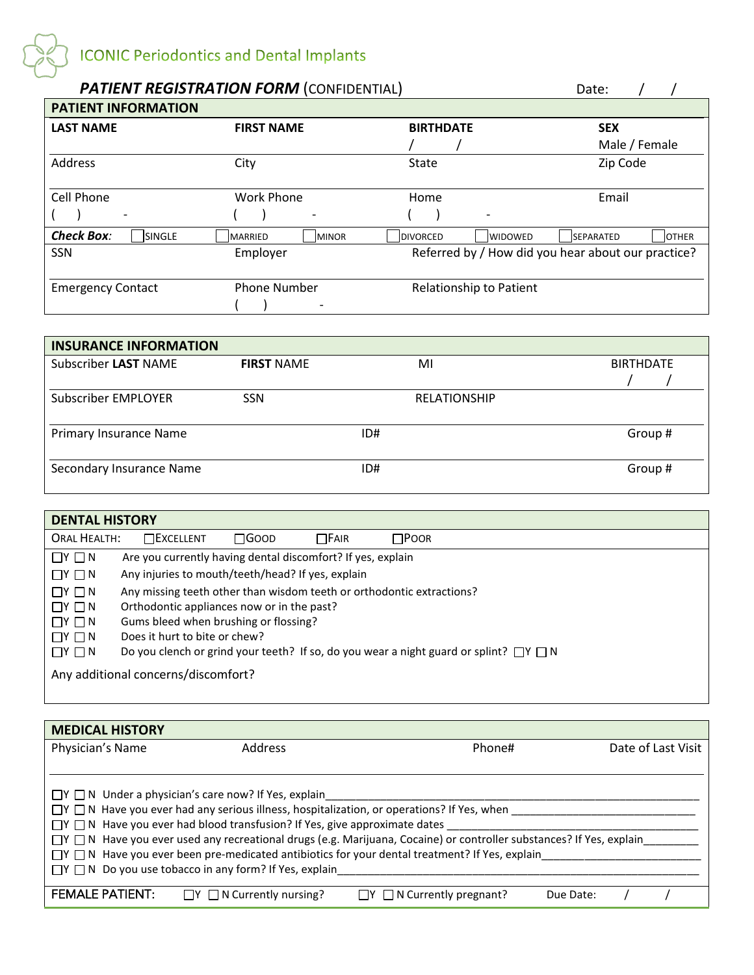

| <b>PATIENT REGISTRATION FORM (CONFIDENTIAL)</b> |                                 |                                    | Date:                                              |
|-------------------------------------------------|---------------------------------|------------------------------------|----------------------------------------------------|
| <b>PATIENT INFORMATION</b>                      |                                 |                                    |                                                    |
| <b>LAST NAME</b>                                | <b>FIRST NAME</b>               | <b>BIRTHDATE</b>                   | <b>SEX</b>                                         |
|                                                 |                                 |                                    | Male / Female                                      |
| Address                                         | City                            | <b>State</b>                       | Zip Code                                           |
| Cell Phone                                      | <b>Work Phone</b>               | Home                               | Email                                              |
|                                                 | $\overline{\phantom{a}}$        |                                    |                                                    |
| <b>Check Box:</b><br>lsingle                    | <b>IMINOR</b><br><b>MARRIED</b> | <b>IDIVORCED</b><br><b>WIDOWED</b> | <b>OTHER</b><br><b>SEPARATED</b>                   |
| <b>SSN</b>                                      | Employer                        |                                    | Referred by / How did you hear about our practice? |
| <b>Emergency Contact</b>                        | <b>Phone Number</b>             | Relationship to Patient            |                                                    |

| <b>INSURANCE INFORMATION</b> |                   |     |                     |                  |
|------------------------------|-------------------|-----|---------------------|------------------|
| Subscriber LAST NAME         | <b>FIRST NAME</b> | MI  |                     | <b>BIRTHDATE</b> |
| <b>Subscriber EMPLOYER</b>   | <b>SSN</b>        |     | <b>RELATIONSHIP</b> |                  |
| Primary Insurance Name       |                   | ID# |                     | Group#           |
| Secondary Insurance Name     |                   | ID# |                     | Group#           |

| <b>DENTAL HISTORY</b>               |                                                                                                |       |             |             |  |  |
|-------------------------------------|------------------------------------------------------------------------------------------------|-------|-------------|-------------|--|--|
| <b>ORAL HEALTH:</b>                 | $\Box$ Excellent                                                                               | ⊟Goop | $\Box$ Fair | $\Box$ Poor |  |  |
| $\Box Y \Box N$                     | Are you currently having dental discomfort? If yes, explain                                    |       |             |             |  |  |
| $\Box Y \Box N$                     | Any injuries to mouth/teeth/head? If yes, explain                                              |       |             |             |  |  |
| $\Box Y \Box N$                     | Any missing teeth other than wisdom teeth or orthodontic extractions?                          |       |             |             |  |  |
| $\Box Y \Box N$                     | Orthodontic appliances now or in the past?                                                     |       |             |             |  |  |
| $\Box Y \Box N$                     | Gums bleed when brushing or flossing?                                                          |       |             |             |  |  |
| $\Box Y \Box N$                     | Does it hurt to bite or chew?                                                                  |       |             |             |  |  |
| $\Box Y \Box N$                     | Do you clench or grind your teeth? If so, do you wear a night guard or splint? $\Box Y \Box N$ |       |             |             |  |  |
| Any additional concerns/discomfort? |                                                                                                |       |             |             |  |  |

| <b>MEDICAL HISTORY</b>                                                                                                                                                                                                                     |                                                                 |                                     |                    |  |  |
|--------------------------------------------------------------------------------------------------------------------------------------------------------------------------------------------------------------------------------------------|-----------------------------------------------------------------|-------------------------------------|--------------------|--|--|
| Physician's Name                                                                                                                                                                                                                           | <b>Address</b>                                                  | Phone#                              | Date of Last Visit |  |  |
|                                                                                                                                                                                                                                            |                                                                 |                                     |                    |  |  |
| $\Box Y \Box N$ Under a physician's care now? If Yes, explain<br>$\Box Y \Box N$ Have you ever had any serious illness, hospitalization, or operations? If Yes, when                                                                       |                                                                 |                                     |                    |  |  |
| $\Box Y \Box N$ Have you ever had blood transfusion? If Yes, give approximate dates                                                                                                                                                        |                                                                 |                                     |                    |  |  |
| $\Box Y$ $\Box N$ Have you ever used any recreational drugs (e.g. Marijuana, Cocaine) or controller substances? If Yes, explain<br>$\Box Y \Box N$ Have you ever been pre-medicated antibiotics for your dental treatment? If Yes, explain |                                                                 |                                     |                    |  |  |
|                                                                                                                                                                                                                                            | $\Box Y \Box N$ Do you use tobacco in any form? If Yes, explain |                                     |                    |  |  |
| <b>FEMALE PATIENT:</b>                                                                                                                                                                                                                     | $\Box$ N Currently nursing?                                     | $\Box Y \Box N$ Currently pregnant? | Due Date:          |  |  |